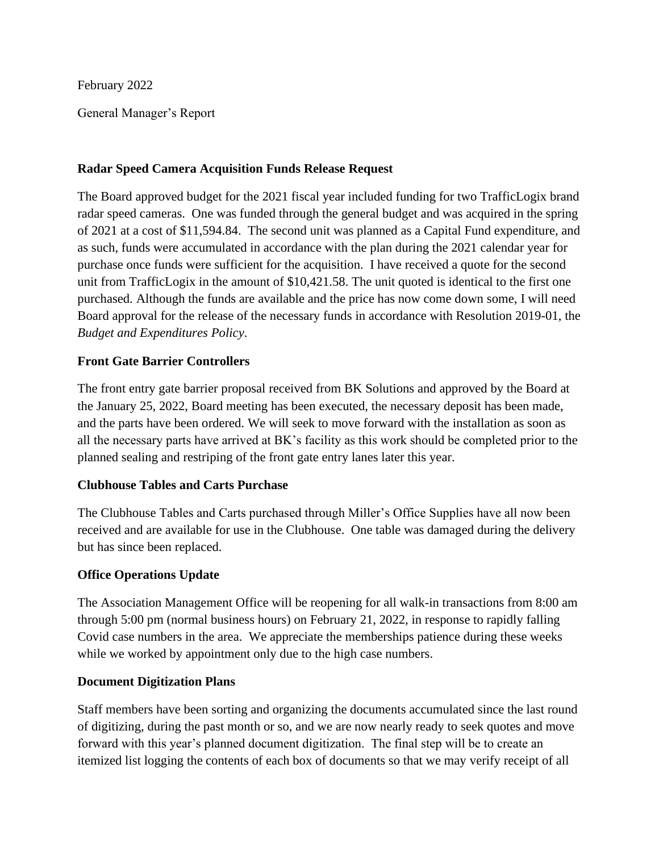February 2022

General Manager's Report

## **Radar Speed Camera Acquisition Funds Release Request**

The Board approved budget for the 2021 fiscal year included funding for two TrafficLogix brand radar speed cameras. One was funded through the general budget and was acquired in the spring of 2021 at a cost of \$11,594.84. The second unit was planned as a Capital Fund expenditure, and as such, funds were accumulated in accordance with the plan during the 2021 calendar year for purchase once funds were sufficient for the acquisition. I have received a quote for the second unit from TrafficLogix in the amount of \$10,421.58. The unit quoted is identical to the first one purchased. Although the funds are available and the price has now come down some, I will need Board approval for the release of the necessary funds in accordance with Resolution 2019-01, the *Budget and Expenditures Policy*.

## **Front Gate Barrier Controllers**

The front entry gate barrier proposal received from BK Solutions and approved by the Board at the January 25, 2022, Board meeting has been executed, the necessary deposit has been made, and the parts have been ordered. We will seek to move forward with the installation as soon as all the necessary parts have arrived at BK's facility as this work should be completed prior to the planned sealing and restriping of the front gate entry lanes later this year.

### **Clubhouse Tables and Carts Purchase**

The Clubhouse Tables and Carts purchased through Miller's Office Supplies have all now been received and are available for use in the Clubhouse. One table was damaged during the delivery but has since been replaced.

## **Office Operations Update**

The Association Management Office will be reopening for all walk-in transactions from 8:00 am through 5:00 pm (normal business hours) on February 21, 2022, in response to rapidly falling Covid case numbers in the area. We appreciate the memberships patience during these weeks while we worked by appointment only due to the high case numbers.

### **Document Digitization Plans**

Staff members have been sorting and organizing the documents accumulated since the last round of digitizing, during the past month or so, and we are now nearly ready to seek quotes and move forward with this year's planned document digitization. The final step will be to create an itemized list logging the contents of each box of documents so that we may verify receipt of all